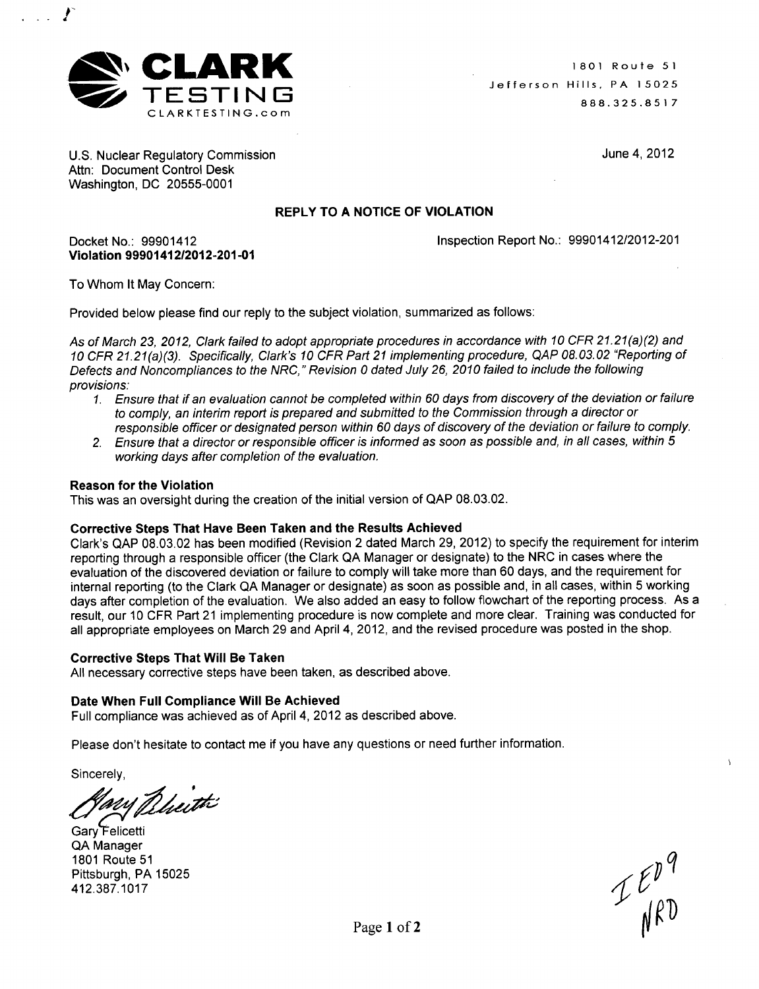

U.S. Nuclear Regulatory Commission Attn: Document Control Desk Washington, DC 20555-0001

June 4, 2012

# REPLY TO **A NOTICE** OF **VIOLATION**

Inspection Report No.: 99901412/2012-201

To Whom It May Concern:

Violation 99901412/2012-201-01

Docket No.: 99901412

f

 $\sim$ 

Provided below please find our reply to the subject violation, summarized as follows:

*As of March 23, 2012, Clark failed to adopt appropriate procedures in accordance with 10 CFR 21.21(a) (2) and 10 CFR 21.21(a)(3). Specifically, Clark's 10 CFR Part 21 implementing procedure, QAP 08.03.02 "Reporting of Defects and Noncompliances to the NRC," Revision 0 dated July 26, 2010 failed to include the following provisions:*

- 1. *Ensure that if an evaluation cannot be completed within 60 days from discovery of the deviation or failure to comply, an interim report is prepared and submitted to the Commission through a director or responsible officer or designated person within 60 days of discovery of the deviation or failure to comply.*
- *2. Ensure that a director or responsible officer is informed as soon as possible and, in all cases, within 5 working days after completion of the evaluation.*

## Reason for the Violation

This was an oversight during the creation of the initial version of QAP 08.03.02.

### Corrective Steps That Have Been Taken and the Results Achieved

Clark's QAP 08.03.02 has been modified (Revision 2 dated March 29, 2012) to specify the requirement for interim reporting through a responsible officer (the Clark QA Manager or designate) to the NRC in cases where the evaluation of the discovered deviation or failure to comply will take more than 60 days, and the requirement for internal reporting (to the Clark QA Manager or designate) as soon as possible and, in all cases, within 5 working days after completion of the evaluation. We also added an easy to follow flowchart of the reporting process. As a result, our 10 CFR Part 21 implementing procedure is now complete and more clear. Training was conducted for all appropriate employees on March 29 and April 4, 2012, and the revised procedure was posted in the shop.

### Corrective Steps That Will Be Taken

All necessary corrective steps have been taken, as described above.

### Date When Full Compliance Will Be Achieved

Full compliance was achieved as of April 4, 2012 as described above.

Please don't hesitate to contact me if you have any questions or need further information.

Sincerely,

ary Bheith

Gary'elicetti QA Manager 1801 Route 51 Pittsburgh, PA 15025 412.387.1017<br>
412.387.1017<br>  $\mathcal{L} \mathcal{L} \mathcal{L} \mathcal{L}$ 

 $I_{\text{MRD}}^{\text{F}}$